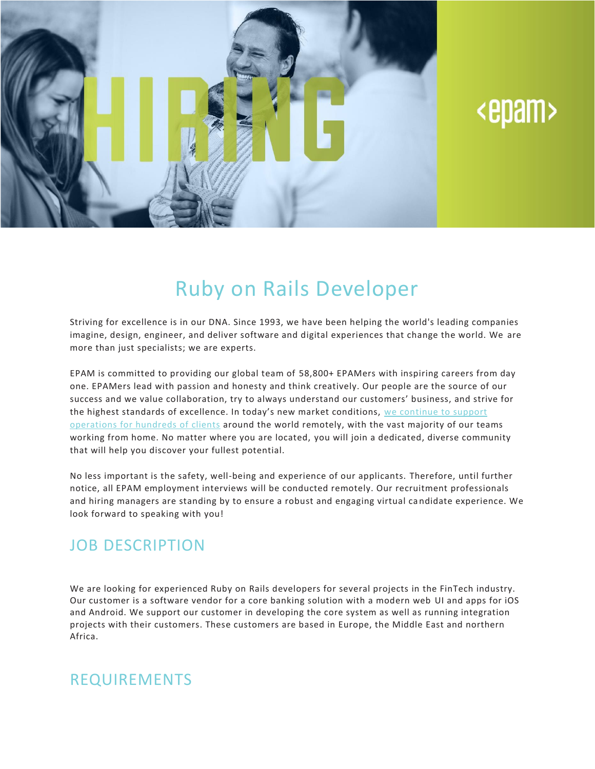

# <epam>

## Ruby on Rails Developer

Striving for excellence is in our DNA. Since 1993, we have been helping the world's leading companies imagine, design, engineer, and deliver software and digital experiences that change the world. We are more than just specialists; we are experts.

EPAM is committed to providing our global team of 58,800+ EPAMers with inspiring careers from day one. EPAMers lead with passion and honesty and think creatively. Our people are the source of our success and we value collaboration, try to always understand our customers' business, and strive for the highest standards of excellence. In today's new market conditions, we [continue](https://www.epam.com/ceo-update-covid-19) to support [operations](https://www.epam.com/ceo-update-covid-19) for hundreds of clients around the world remotely, with the vast majority of our teams working from home. No matter where you are located, you will join a dedicated, diverse community that will help you discover your fullest potential.

No less important is the safety, well-being and experience of our applicants. Therefore, until further notice, all EPAM employment interviews will be conducted remotely. Our recruitment professionals and hiring managers are standing by to ensure a robust and engaging virtual ca ndidate experience. We look forward to speaking with you!

### JOB DESCRIPTION

We are looking for experienced Ruby on Rails developers for several projects in the FinTech industry. Our customer is a software vendor for a core banking solution with a modern web UI and apps for iOS and Android. We support our customer in developing the core system as well as running integration projects with their customers. These customers are based in Europe, the Middle East and northern Africa.

#### REQUIREMENTS